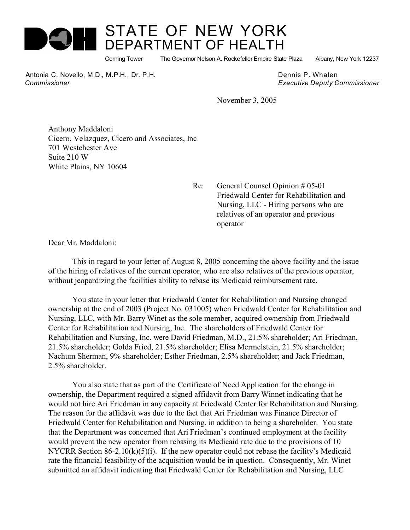

## STATE OF NEW YORK DEPARTMENT OF HEALTH

Corning Tower The Governor Nelson A. Rockefeller Empire State Plaza Albany, New York 12237

Antonia C. Novello, M.D., M.P.H., Dr. P.H. Dennis P. Whalen  *Commissioner Executive Deputy Commissioner*

November 3, 2005

Anthony Maddaloni Cicero, Velazquez, Cicero and Associates, Inc 701 Westchester Ave Suite 210 W White Plains, NY 10604

> Re: General Counsel Opinion # 05-01 Friedwald Center for Rehabilitation and Nursing, LLC - Hiring persons who are relatives of an operator and previous operator

Dear Mr. Maddaloni:

This in regard to your letter of August 8, 2005 concerning the above facility and the issue of the hiring of relatives of the current operator, who are also relatives of the previous operator, without jeopardizing the facilities ability to rebase its Medicaid reimbursement rate.

You state in your letter that Friedwald Center for Rehabilitation and Nursing changed ownership at the end of 2003 (Project No. 031005) when Friedwald Center for Rehabilitation and Nursing, LLC, with Mr. Barry Winet as the sole member, acquired ownership from Friedwald Center for Rehabilitation and Nursing, Inc. The shareholders of Friedwald Center for Rehabilitation and Nursing, Inc. were David Friedman, M.D., 21.5% shareholder; Ari Friedman, 21.5% shareholder; Golda Fried, 21.5% shareholder; Elisa Mermelstein, 21.5% shareholder; Nachum Sherman, 9% shareholder; Esther Friedman, 2.5% shareholder; and Jack Friedman, 2.5% shareholder.

You also state that as part of the Certificate of Need Application for the change in ownership, the Department required a signed affidavit from Barry Winnet indicating that he would not hire Ari Friedman in any capacity at Friedwald Center for Rehabilitation and Nursing. The reason for the affidavit was due to the fact that Ari Friedman was Finance Director of Friedwald Center for Rehabilitation and Nursing, in addition to being a shareholder. You state that the Department was concerned that Ari Friedman's continued employment at the facility would prevent the new operator from rebasing its Medicaid rate due to the provisions of 10 NYCRR Section 86-2.10(k)(5)(i). If the new operator could not rebase the facility's Medicaid rate the financial feasibility of the acquisition would be in question. Consequently, Mr. Winet submitted an affidavit indicating that Friedwald Center for Rehabilitation and Nursing, LLC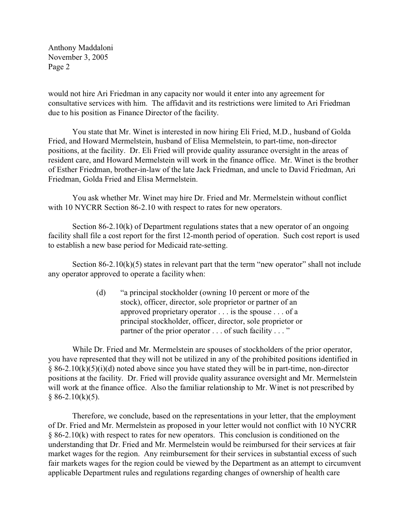Anthony Maddaloni November 3, 2005 Page 2

would not hire Ari Friedman in any capacity nor would it enter into any agreement for consultative services with him. The affidavit and its restrictions were limited to Ari Friedman due to his position as Finance Director of the facility.

You state that Mr. Winet is interested in now hiring Eli Fried, M.D., husband of Golda Fried, and Howard Mermelstein, husband of Elisa Mermelstein, to part-time, non-director positions, at the facility. Dr. Eli Fried will provide quality assurance oversight in the areas of resident care, and Howard Mermelstein will work in the finance office. Mr. Winet is the brother of Esther Friedman, brother-in-law of the late Jack Friedman, and uncle to David Friedman, Ari Friedman, Golda Fried and Elisa Mermelstein.

You ask whether Mr. Winet may hire Dr. Fried and Mr. Mermelstein without conflict with 10 NYCRR Section 86-2.10 with respect to rates for new operators.

Section 86-2.10(k) of Department regulations states that a new operator of an ongoing facility shall file a cost report for the first 12-month period of operation. Such cost report is used to establish a new base period for Medicaid rate-setting.

Section  $86-2.10(k)(5)$  states in relevant part that the term "new operator" shall not include any operator approved to operate a facility when:

> (d) "a principal stockholder (owning 10 percent or more of the stock), officer, director, sole proprietor or partner of an approved proprietary operator . . . is the spouse . . . of a principal stockholder, officer, director, sole proprietor or partner of the prior operator . . . of such facility . . . "

While Dr. Fried and Mr. Mermelstein are spouses of stockholders of the prior operator, you have represented that they will not be utilized in any of the prohibited positions identified in  $§ 86-2.10(k)(5)(i)(d)$  noted above since you have stated they will be in part-time, non-director positions at the facility. Dr. Fried will provide quality assurance oversight and Mr. Mermelstein will work at the finance office. Also the familiar relationship to Mr. Winet is not prescribed by  $§ 86-2.10(k)(5).$ 

Therefore, we conclude, based on the representations in your letter, that the employment of Dr. Fried and Mr. Mermelstein as proposed in your letter would not conflict with 10 NYCRR § 86-2.10(k) with respect to rates for new operators. This conclusion is conditioned on the understanding that Dr. Fried and Mr. Mermelstein would be reimbursed for their services at fair market wages for the region. Any reimbursement for their services in substantial excess of such fair markets wages for the region could be viewed by the Department as an attempt to circumvent applicable Department rules and regulations regarding changes of ownership of health care